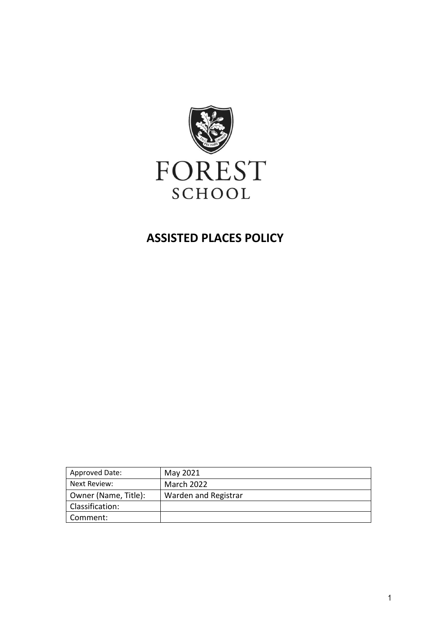

# **ASSISTED PLACES POLICY**

| <b>Approved Date:</b> | May 2021             |
|-----------------------|----------------------|
| Next Review:          | <b>March 2022</b>    |
| Owner (Name, Title):  | Warden and Registrar |
| Classification:       |                      |
| Comment:              |                      |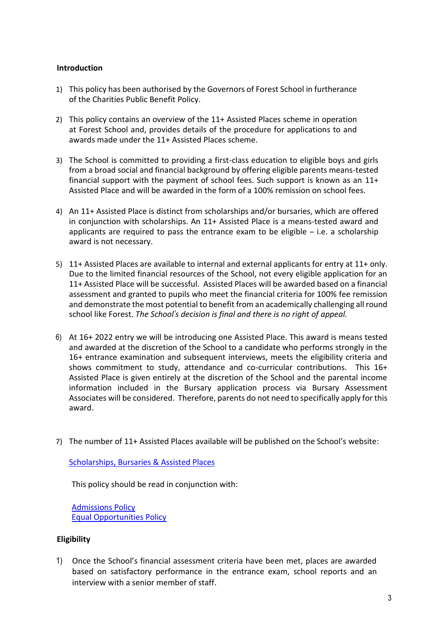#### <span id="page-2-0"></span>**Introduction**

- 1) This policy has been authorised by the Governors of Forest School in furtherance of the Charities Public Benefit Policy.
- 2) This policy contains an overview of the 11+ Assisted Places scheme in operation at Forest School and, provides details of the procedure for applications to and awards made under the 11+ Assisted Places scheme.
- 3) The School is committed to providing a first-class education to eligible boys and girls from a broad social and financial background by offering eligible parents means-tested financial support with the payment of school fees. Such support is known as an 11+ Assisted Place and will be awarded in the form of a 100% remission on school fees.
- 4) An 11+ Assisted Place is distinct from scholarships and/or bursaries, which are offered in conjunction with scholarships. An 11+ Assisted Place is a means-tested award and applicants are required to pass the entrance exam to be eligible  $-$  i.e. a scholarship award is not necessary.
- 5) 11+ Assisted Places are available to internal and external applicants for entry at 11+ only. Due to the limited financial resources of the School, not every eligible application for an 11+ Assisted Place will be successful. Assisted Places will be awarded based on a financial assessment and granted to pupils who meet the financial criteria for 100% fee remission and demonstrate the most potential to benefit from an academically challenging all round school like Forest. *The School's decision is final and there is no right of appeal.*
- 6) At 16+ 2022 entry we will be introducing one Assisted Place. This award is means tested and awarded at the discretion of the School to a candidate who performs strongly in the 16+ entrance examination and subsequent interviews, meets the eligibility criteria and shows commitment to study, attendance and co-curricular contributions. This 16+ Assisted Place is given entirely at the discretion of the School and the parental income information included in the Bursary application process via Bursary Assessment Associates will be considered. Therefore, parents do not need to specifically apply for this award.
- 7) The number of 11+ Assisted Places available will be published on the School's website:

[Scholarships, Bursaries & Assisted Places](https://www.forest.org.uk/admissions/scholarships-bursaries-assisted-places/)

This policy should be read in conjunction with:

[Admissions Policy](https://forestschoolessex.sharepoint.com/:b:/s/Compliance/EQZiZOPG6TVHsuwzW8Jn2jEBoBJlud69rjR-wESnuJhX_A?e=JDVaNj) [Equal Opportunities Policy](https://forestschoolessex.sharepoint.com/:b:/s/Compliance/Edo6goO1_m9Cmf4RLoB8DGAB7y9Xb-rpL2QKO8NPBZE4cg?e=Hmhqsj)

#### <span id="page-2-1"></span>**Eligibility**

1) Once the School's financial assessment criteria have been met, places are awarded based on satisfactory performance in the entrance exam, school reports and an interview with a senior member of staff.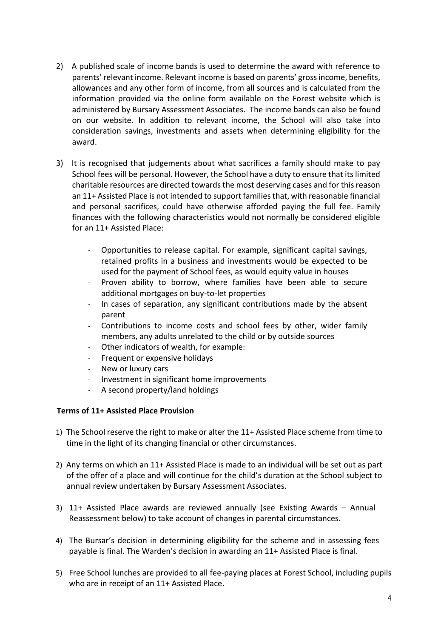- 2) A published scale of income bands is used to determine the award with reference to parents' relevant income. Relevant income is based on parents' gross income, benefits, allowances and any other form of income, from all sources and is calculated from the information provided via the online form available on the Forest website which is administered by Bursary Assessment Associates. The income bands can also be found on our website. In addition to relevant income, the School will also take into consideration savings, investments and assets when determining eligibility for the award.
- 3) It is recognised that judgements about what sacrifices a family should make to pay School fees will be personal. However, the School have a duty to ensure that its limited charitable resources are directed towards the most deserving cases and for this reason an 11+ Assisted Place is not intended to support families that, with reasonable financial and personal sacrifices, could have otherwise afforded paying the full fee. Family finances with the following characteristics would not normally be considered eligible for an 11+ Assisted Place:
	- Opportunities to release capital. For example, significant capital savings, retained profits in a business and investments would be expected to be used for the payment of School fees, as would equity value in houses
	- Proven ability to borrow, where families have been able to secure additional mortgages on buy-to-let properties
	- In cases of separation, any significant contributions made by the absent parent
	- Contributions to income costs and school fees by other, wider family members, any adults unrelated to the child or by outside sources
	- Other indicators of wealth, for example:
	- Frequent or expensive holidays
	- New or luxury cars
	- Investment in significant home improvements
	- A second property/land holdings

#### <span id="page-3-0"></span>**Terms of 11+ Assisted Place Provision**

- 1) The School reserve the right to make or alter the 11+ Assisted Place scheme from time to time in the light of its changing financial or other circumstances.
- 2) Any terms on which an 11+ Assisted Place is made to an individual will be set out as part of the offer of a place and will continue for the child's duration at the School subject to annual review undertaken by Bursary Assessment Associates.
- 3) 11+ Assisted Place awards are reviewed annually (see Existing Awards Annual Reassessment below) to take account of changes in parental circumstances.
- 4) The Bursar's decision in determining eligibility for the scheme and in assessing fees payable is final. The Warden's decision in awarding an 11+ Assisted Place is final.
- 5) Free School lunches are provided to all fee-paying places at Forest School, including pupils who are in receipt of an 11+ Assisted Place.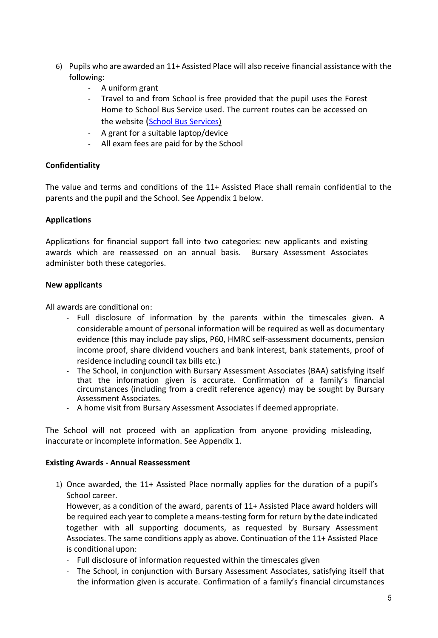- 6) Pupils who are awarded an 11+ Assisted Place will also receive financial assistance with the following:
	- A uniform grant
	- Travel to and from School is free provided that the pupil uses the Forest Home to School Bus Service used. The current routes can be accessed on the website ([School Bus Services\)](https://www.forest.org.uk/about/bus-routes/)
	- A grant for a suitable laptop/device
	- All exam fees are paid for by the School

## <span id="page-4-0"></span>**Confidentiality**

The value and terms and conditions of the 11+ Assisted Place shall remain confidential to the parents and the pupil and the School. See Appendix 1 below.

## <span id="page-4-1"></span>**Applications**

Applications for financial support fall into two categories: new applicants and existing awards which are reassessed on an annual basis. Bursary Assessment Associates administer both these categories.

#### <span id="page-4-2"></span>**New applicants**

All awards are conditional on:

- Full disclosure of information by the parents within the timescales given. A considerable amount of personal information will be required as well as documentary evidence (this may include pay slips, P60, HMRC self-assessment documents, pension income proof, share dividend vouchers and bank interest, bank statements, proof of residence including council tax bills etc.)
- The School, in conjunction with Bursary Assessment Associates (BAA) satisfying itself that the information given is accurate. Confirmation of a family's financial circumstances (including from a credit reference agency) may be sought by Bursary Assessment Associates.
- A home visit from Bursary Assessment Associates if deemed appropriate.

The School will not proceed with an application from anyone providing misleading, inaccurate or incomplete information. See Appendix 1.

#### <span id="page-4-3"></span>**Existing Awards - Annual Reassessment**

1) Once awarded, the 11+ Assisted Place normally applies for the duration of a pupil's School career.

However, as a condition of the award, parents of 11+ Assisted Place award holders will be required each year to complete a means-testing form for return by the date indicated together with all supporting documents, as requested by Bursary Assessment Associates. The same conditions apply as above. Continuation of the 11+ Assisted Place is conditional upon:

- Full disclosure of information requested within the timescales given
- The School, in conjunction with Bursary Assessment Associates, satisfying itself that the information given is accurate. Confirmation of a family's financial circumstances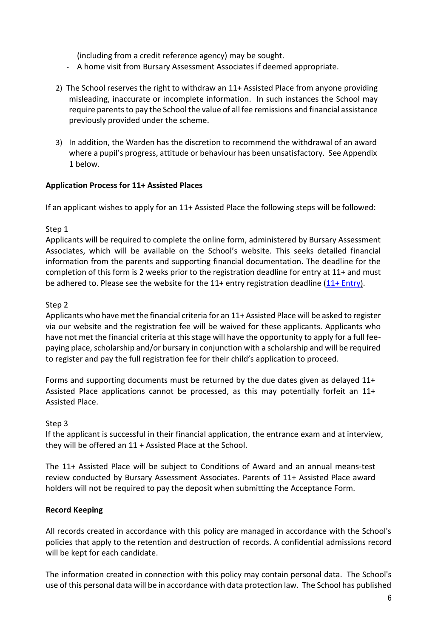(including from a credit reference agency) may be sought.

- A home visit from Bursary Assessment Associates if deemed appropriate.
- 2) The School reserves the right to withdraw an 11+ Assisted Place from anyone providing misleading, inaccurate or incomplete information. In such instances the School may require parents to pay the School the value of all fee remissions and financial assistance previously provided under the scheme.
- 3) In addition, the Warden has the discretion to recommend the withdrawal of an award where a pupil's progress, attitude or behaviour has been unsatisfactory. See Appendix 1 below.

#### <span id="page-5-0"></span>**Application Process for 11+ Assisted Places**

If an applicant wishes to apply for an 11+ Assisted Place the following steps will be followed:

#### Step 1

Applicants will be required to complete the online form, administered by Bursary Assessment Associates, which will be available on the School's website. This seeks detailed financial information from the parents and supporting financial documentation. The deadline for the completion of this form is 2 weeks prior to the registration deadline for entry at 11+ and must be adhered to. Please see the website for the  $11+$  entry registration deadline  $(11+$  Entry).

## Step 2

Applicants who have met the financial criteria for an 11+ Assisted Place will be asked to register via our website and the registration fee will be waived for these applicants. Applicants who have not met the financial criteria at this stage will have the opportunity to apply for a full feepaying place, scholarship and/or bursary in conjunction with a scholarship and will be required to register and pay the full registration fee for their child's application to proceed.

Forms and supporting documents must be returned by the due dates given as delayed 11+ Assisted Place applications cannot be processed, as this may potentially forfeit an 11+ Assisted Place.

#### Step 3

If the applicant is successful in their financial application, the entrance exam and at interview, they will be offered an 11 + Assisted Place at the School.

The 11+ Assisted Place will be subject to Conditions of Award and an annual means-test review conducted by Bursary Assessment Associates. Parents of 11+ Assisted Place award holders will not be required to pay the deposit when submitting the Acceptance Form.

#### **Record Keeping**

All records created in accordance with this policy are managed in accordance with the School's policies that apply to the retention and destruction of records. A confidential admissions record will be kept for each candidate.

The information created in connection with this policy may contain personal data. The School's use of this personal data will be in accordance with data protection law. The School has published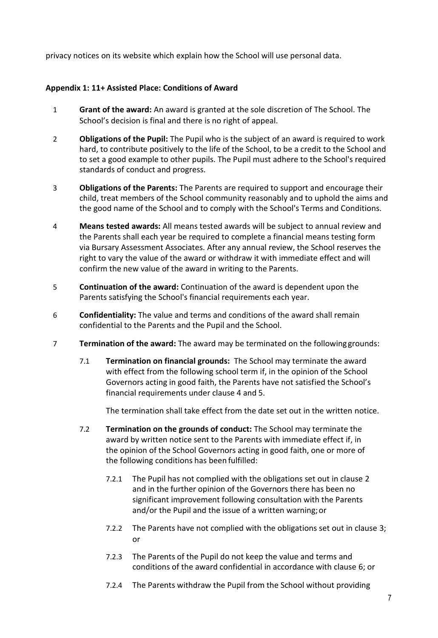privacy notices on its website which explain how the School will use personal data.

## <span id="page-6-0"></span>**Appendix 1: 11+ Assisted Place: Conditions of Award**

- <span id="page-6-1"></span>1 **Grant of the award:** An award is granted at the sole discretion of The School. The School's decision is final and there is no right of appeal.
- 2 **Obligations of the Pupil:** The Pupil who is the subject of an award is required to work hard, to contribute positively to the life of the School, to be a credit to the School and to set a good example to other pupils. The Pupil must adhere to the School's required standards of conduct and progress.
- 3 **Obligations of the Parents:** The Parents are required to support and encourage their child, treat members of the School community reasonably and to uphold the aims and the good name of the School and to comply with the School's Terms and Conditions.
- 4 **Means tested awards:** All means tested awards will be subject to annual review and the Parents shall each year be required to complete a financial means testing form via Bursary Assessment Associates. After any annual review, the School reserves the right to vary the value of the award or withdraw it with immediate effect and will confirm the new value of the award in writing to the Parents.
- 5 **Continuation of the award:** Continuation of the award is dependent upon the Parents satisfying the School's financial requirements each year.
- <span id="page-6-2"></span>6 **Confidentiality:** The value and terms and conditions of the award shall remain confidential to the Parents and the Pupil and the School.
- 7 **Termination of the award:** The award may be terminated on the followinggrounds:
	- 7.1 **Termination on financial grounds:** The School may terminate the award with effect from the following school term if, in the opinion of the School Governors acting in good faith, the Parents have not satisfied the School's financial requirements under clause 4 and 5.

The termination shall take effect from the date set out in the written notice.

- 7.2 **Termination on the grounds of conduct:** The School may terminate the award by written notice sent to the Parents with immediate effect if, in the opinion of the School Governors acting in good faith, one or more of the following conditions has been fulfilled:
	- 7.2.1 The Pupil has not complied with the obligations set out in clause 2 and in the further opinion of the Governors there has been no significant improvement following consultation with the Parents and/or the Pupil and the issue of a written warning;or
	- 7.2.2 The Parents have not complied with the obligations set out in clause [3;](#page-6-1) or
	- 7.2.3 The Parents of the Pupil do not keep the value and terms and conditions of the award confidential in accordance with clause [6;](#page-6-2) or
	- 7.2.4 The Parents withdraw the Pupil from the School without providing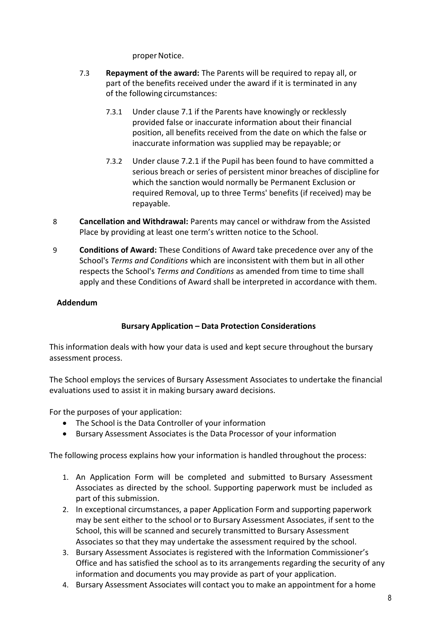proper Notice.

- 7.3 **Repayment of the award:** The Parents will be required to repay all, or part of the benefits received under the award if it is terminated in any of the following circumstances:
	- 7.3.1 Under clause 7.1 if the Parents have knowingly or recklessly provided false or inaccurate information about their financial position, all benefits received from the date on which the false or inaccurate information was supplied may be repayable; or
	- 7.3.2 Under clause 7.2.1 if the Pupil has been found to have committed a serious breach or series of persistent minor breaches of discipline for which the sanction would normally be Permanent Exclusion or required Removal, up to three Terms' benefits (if received) may be repayable.
- 8 **Cancellation and Withdrawal:** Parents may cancel or withdraw from the Assisted Place by providing at least one term's written notice to the School.
- 9 **Conditions of Award:** These Conditions of Award take precedence over any of the School's *Terms and Conditions* which are inconsistent with them but in all other respects the School's *Terms and Conditions* as amended from time to time shall apply and these Conditions of Award shall be interpreted in accordance with them.

## <span id="page-7-0"></span>**Addendum**

## **Bursary Application – Data Protection Considerations**

This information deals with how your data is used and kept secure throughout the bursary assessment process.

The School employs the services of Bursary Assessment Associates to undertake the financial evaluations used to assist it in making bursary award decisions.

For the purposes of your application:

- The School is the Data Controller of your information
- Bursary Assessment Associates is the Data Processor of your information

The following process explains how your information is handled throughout the process:

- 1. An Application Form will be completed and submitted to Bursary Assessment Associates as directed by the school. Supporting paperwork must be included as part of this submission.
- 2. In exceptional circumstances, a paper Application Form and supporting paperwork may be sent either to the school or to Bursary Assessment Associates, if sent to the School, this will be scanned and securely transmitted to Bursary Assessment Associates so that they may undertake the assessment required by the school.
- 3. Bursary Assessment Associates is registered with the Information Commissioner's Office and has satisfied the school as to its arrangements regarding the security of any information and documents you may provide as part of your application.
- 4. Bursary Assessment Associates will contact you to make an appointment for a home